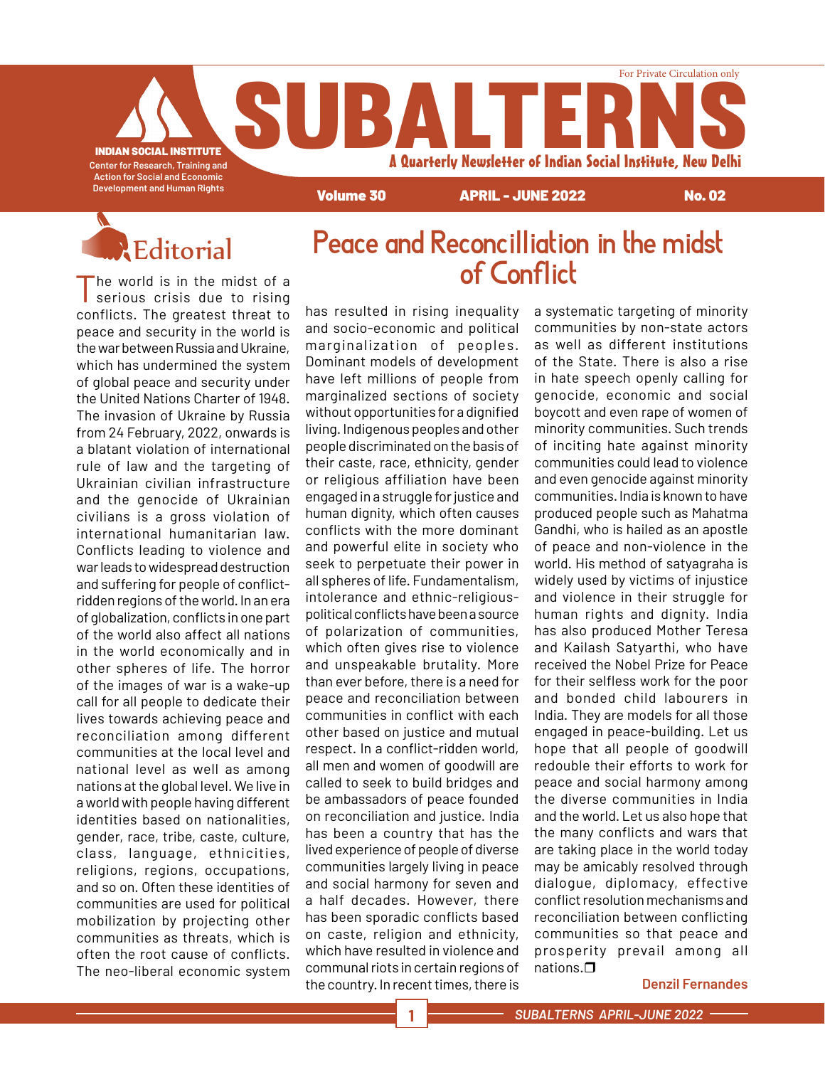INDIAN SOCIAL INSTITUTE **Center for Research, Training and Action for Social and Economic Development and Human Rights**

# Reditorial Peace and Reconcilliation in the midst

Volume 30 APRIL - JUNE 2022 No. 02

A Quarterly Newsletter of Indian Social Institute, New Delhi

For Private Circulation only

The world is in the midst of a serious crisis due to rising conflicts. The greatest threat to peace and security in the world is the war between Russia and Ukraine, which has undermined the system of global peace and security under the United Nations Charter of 1948. The invasion of Ukraine by Russia from 24 February, 2022, onwards is a blatant violation of international rule of law and the targeting of Ukrainian civilian infrastructure and the genocide of Ukrainian civilians is a gross violation of international humanitarian law. Conflicts leading to violence and war leads to widespread destruction and suffering for people of conflictridden regions of the world. In an era of globalization, conflicts in one part of the world also affect all nations in the world economically and in other spheres of life. The horror of the images of war is a wake-up call for all people to dedicate their lives towards achieving peace and reconciliation among different communities at the local level and national level as well as among nations at the global level. We live in a world with people having different identities based on nationalities, gender, race, tribe, caste, culture, class, language, ethnicities, religions, regions, occupations, and so on. Often these identities of communities are used for political mobilization by projecting other communities as threats, which is often the root cause of conflicts. The neo-liberal economic system

has resulted in rising inequality and socio-economic and political marginalization of peoples. Dominant models of development have left millions of people from marginalized sections of society without opportunities for a dignified living. Indigenous peoples and other people discriminated on the basis of their caste, race, ethnicity, gender or religious affiliation have been engaged in a struggle for justice and human dignity, which often causes conflicts with the more dominant and powerful elite in society who seek to perpetuate their power in all spheres of life. Fundamentalism, intolerance and ethnic-religiouspolitical conflicts have been a source of polarization of communities, which often gives rise to violence and unspeakable brutality. More than ever before, there is a need for peace and reconciliation between communities in conflict with each other based on justice and mutual respect. In a conflict-ridden world, all men and women of goodwill are called to seek to build bridges and be ambassadors of peace founded on reconciliation and justice. India has been a country that has the lived experience of people of diverse communities largely living in peace and social harmony for seven and a half decades. However, there has been sporadic conflicts based on caste, religion and ethnicity, which have resulted in violence and communal riots in certain regions of the country. In recent times, there is

SUBALTE

a systematic targeting of minority communities by non-state actors as well as different institutions of the State. There is also a rise in hate speech openly calling for genocide, economic and social boycott and even rape of women of minority communities. Such trends of inciting hate against minority communities could lead to violence and even genocide against minority communities. India is known to have produced people such as Mahatma Gandhi, who is hailed as an apostle of peace and non-violence in the world. His method of satyagraha is widely used by victims of injustice and violence in their struggle for human rights and dignity. India has also produced Mother Teresa and Kailash Satyarthi, who have received the Nobel Prize for Peace for their selfless work for the poor and bonded child labourers in India. They are models for all those engaged in peace-building. Let us hope that all people of goodwill redouble their efforts to work for peace and social harmony among the diverse communities in India and the world. Let us also hope that the many conflicts and wars that are taking place in the world today may be amicably resolved through dialogue, diplomacy, effective conflict resolution mechanisms and reconciliation between conflicting communities so that peace and prosperity prevail among all nations. $\Box$ 

#### **Denzil Fernandes**

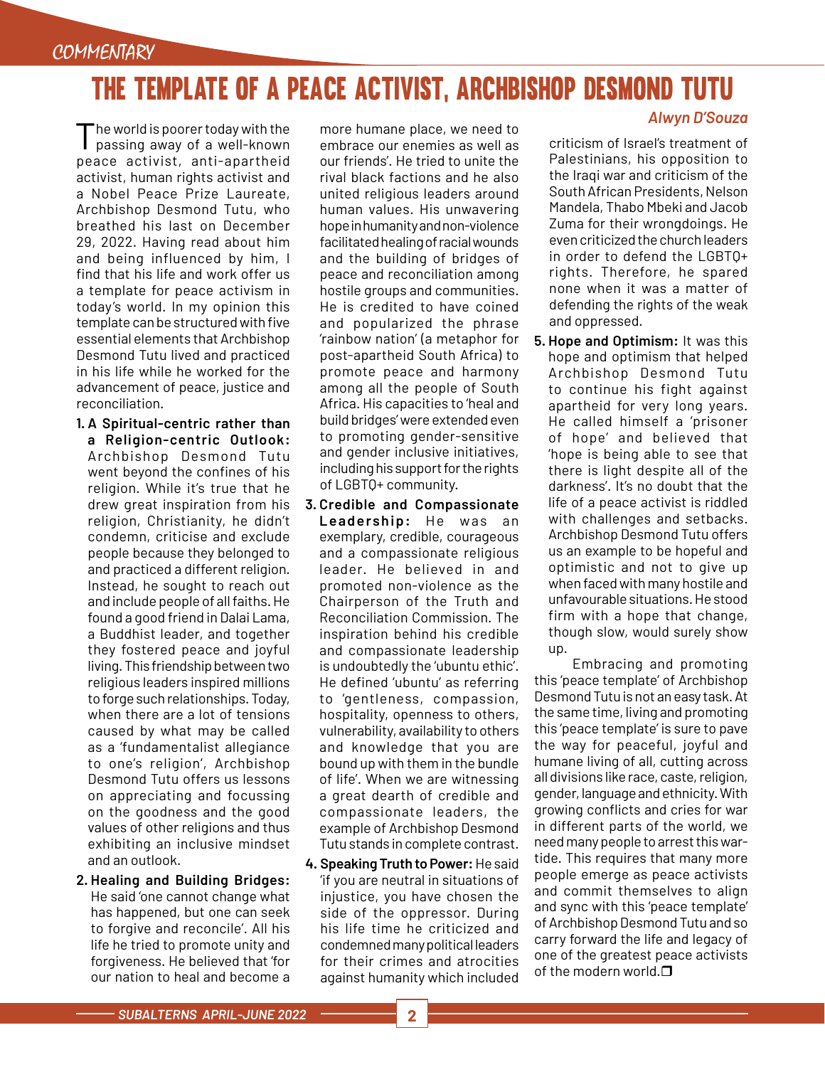## THE TEMPLATE OF A PEACE ACTIVIST, ARCHBISHOP DESMOND TUTU

The world is poorer today with the passing away of a well-known peace activist, anti-apartheid activist, human rights activist and a Nobel Peace Prize Laureate, Archbishop Desmond Tutu, who breathed his last on December 29, 2022. Having read about him and being influenced by him, I find that his life and work offer us a template for peace activism in today's world. In my opinion this template can be structured with five essential elements that Archbishop Desmond Tutu lived and practiced in his life while he worked for the advancement of peace, justice and reconciliation.

- **1. A Spiritual-centric rather than a Religion-centric Outlook:** Archbishop Desmond Tutu went beyond the confines of his religion. While it's true that he drew great inspiration from his religion, Christianity, he didn't condemn, criticise and exclude people because they belonged to and practiced a different religion. Instead, he sought to reach out and include people of all faiths. He found a good friend in Dalai Lama, a Buddhist leader, and together they fostered peace and joyful living. This friendship between two religious leaders inspired millions to forge such relationships. Today, when there are a lot of tensions caused by what may be called as a 'fundamentalist allegiance to one's religion', Archbishop Desmond Tutu offers us lessons on appreciating and focussing on the goodness and the good values of other religions and thus exhibiting an inclusive mindset and an outlook.
- **2. Healing and Building Bridges:** He said 'one cannot change what has happened, but one can seek to forgive and reconcile'. All his life he tried to promote unity and forgiveness. He believed that 'for our nation to heal and become a

more humane place, we need to embrace our enemies as well as our friends'. He tried to unite the rival black factions and he also united religious leaders around human values. His unwavering hope in humanity and non-violence facilitated healing of racial wounds and the building of bridges of peace and reconciliation among hostile groups and communities. He is credited to have coined and popularized the phrase 'rainbow nation' (a metaphor for post-apartheid South Africa) to promote peace and harmony among all the people of South Africa. His capacities to 'heal and build bridges' were extended even to promoting gender-sensitive and gender inclusive initiatives, including his support for the rights of LGBTQ+ community.

- **3. Credible and Compassionate**  Leadership: He was an exemplary, credible, courageous and a compassionate religious leader. He believed in and promoted non-violence as the Chairperson of the Truth and Reconciliation Commission. The inspiration behind his credible and compassionate leadership is undoubtedly the 'ubuntu ethic'. He defined 'ubuntu' as referring to 'gentleness, compassion, hospitality, openness to others, vulnerability, availability to others and knowledge that you are bound up with them in the bundle of life'. When we are witnessing a great dearth of credible and compassionate leaders, the example of Archbishop Desmond Tutu stands in complete contrast.
- **4. Speaking Truth to Power:** He said 'if you are neutral in situations of injustice, you have chosen the side of the oppressor. During his life time he criticized and condemned many political leaders for their crimes and atrocities against humanity which included

#### *Alwyn D'Souza*

criticism of Israel's treatment of Palestinians, his opposition to the Iraqi war and criticism of the South African Presidents, Nelson Mandela, Thabo Mbeki and Jacob Zuma for their wrongdoings. He even criticized the church leaders in order to defend the LGBTQ+ rights. Therefore, he spared none when it was a matter of defending the rights of the weak and oppressed.

**5. Hope and Optimism:** It was this hope and optimism that helped Archbishop Desmond Tutu to continue his fight against apartheid for very long years. He called himself a 'prisoner of hope' and believed that 'hope is being able to see that there is light despite all of the darkness'. It's no doubt that the life of a peace activist is riddled with challenges and setbacks. Archbishop Desmond Tutu offers us an example to be hopeful and optimistic and not to give up when faced with many hostile and unfavourable situations. He stood firm with a hope that change, though slow, would surely show up.

Embracing and promoting this 'peace template' of Archbishop Desmond Tutu is not an easy task. At the same time, living and promoting this 'peace template' is sure to pave the way for peaceful, joyful and humane living of all, cutting across all divisions like race, caste, religion, gender, language and ethnicity. With growing conflicts and cries for war in different parts of the world, we need many people to arrest this wartide. This requires that many more people emerge as peace activists and commit themselves to align and sync with this 'peace template' of Archbishop Desmond Tutu and so carry forward the life and legacy of one of the greatest peace activists of the modern world. $\square$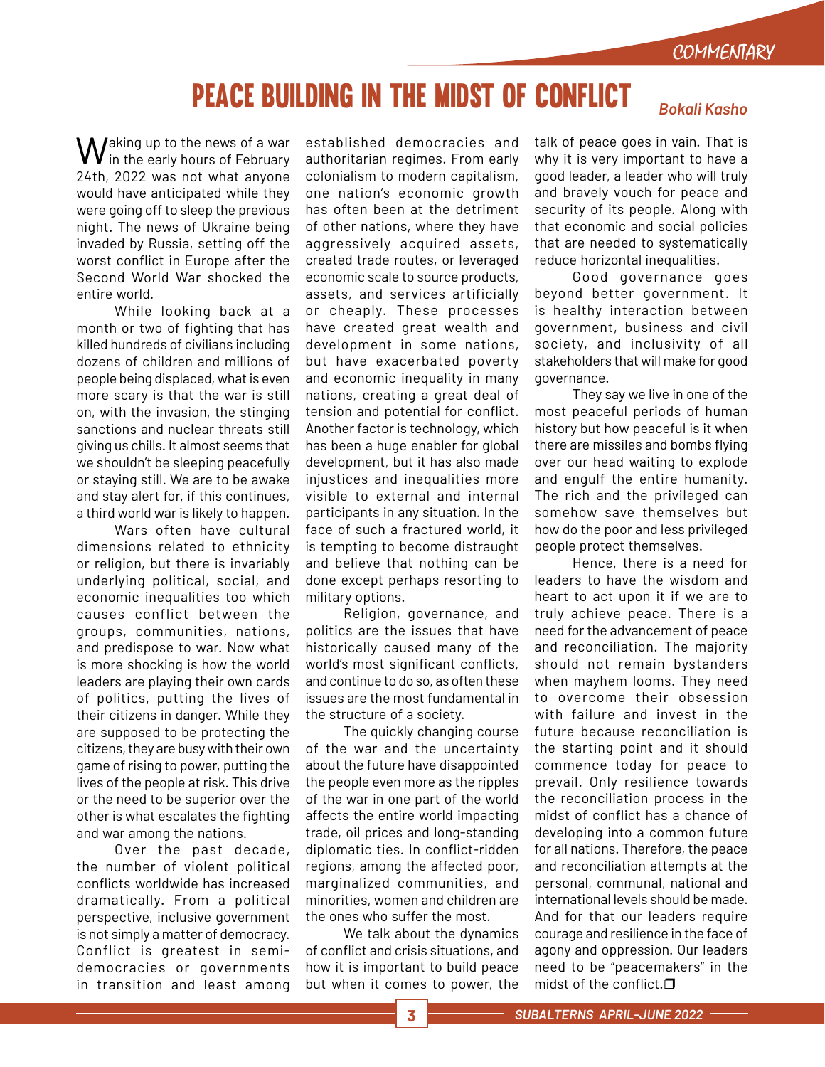## PEACE BUILDING IN THE MIDST OF CONFLICT *Bokali Kasho*

Waking up to the news of a war in the early hours of February 24th, 2022 was not what anyone would have anticipated while they were going off to sleep the previous night. The news of Ukraine being invaded by Russia, setting off the worst conflict in Europe after the Second World War shocked the entire world.

While looking back at a month or two of fighting that has killed hundreds of civilians including dozens of children and millions of people being displaced, what is even more scary is that the war is still on, with the invasion, the stinging sanctions and nuclear threats still giving us chills. It almost seems that we shouldn't be sleeping peacefully or staying still. We are to be awake and stay alert for, if this continues, a third world war is likely to happen.

Wars often have cultural dimensions related to ethnicity or religion, but there is invariably underlying political, social, and economic inequalities too which causes conflict between the groups, communities, nations, and predispose to war. Now what is more shocking is how the world leaders are playing their own cards of politics, putting the lives of their citizens in danger. While they are supposed to be protecting the citizens, they are busy with their own game of rising to power, putting the lives of the people at risk. This drive or the need to be superior over the other is what escalates the fighting and war among the nations.

Over the past decade, the number of violent political conflicts worldwide has increased dramatically. From a political perspective, inclusive government is not simply a matter of democracy. Conflict is greatest in semidemocracies or governments in transition and least among

established democracies and authoritarian regimes. From early colonialism to modern capitalism, one nation's economic growth has often been at the detriment of other nations, where they have aggressively acquired assets, created trade routes, or leveraged economic scale to source products, assets, and services artificially or cheaply. These processes have created great wealth and development in some nations, but have exacerbated poverty and economic inequality in many nations, creating a great deal of tension and potential for conflict. Another factor is technology, which has been a huge enabler for global development, but it has also made injustices and inequalities more visible to external and internal participants in any situation. In the face of such a fractured world, it is tempting to become distraught and believe that nothing can be done except perhaps resorting to military options.

Religion, governance, and politics are the issues that have historically caused many of the world's most significant conflicts, and continue to do so, as often these issues are the most fundamental in the structure of a society.

The quickly changing course of the war and the uncertainty about the future have disappointed the people even more as the ripples of the war in one part of the world affects the entire world impacting trade, oil prices and long-standing diplomatic ties. In conflict-ridden regions, among the affected poor, marginalized communities, and minorities, women and children are the ones who suffer the most.

We talk about the dynamics of conflict and crisis situations, and how it is important to build peace but when it comes to power, the

#### talk of peace goes in vain. That is why it is very important to have a good leader, a leader who will truly and bravely vouch for peace and security of its people. Along with that economic and social policies that are needed to systematically

reduce horizontal inequalities. Good governance goes beyond better government. It is healthy interaction between government, business and civil society, and inclusivity of all stakeholders that will make for good governance.

They say we live in one of the most peaceful periods of human history but how peaceful is it when there are missiles and bombs flying over our head waiting to explode and engulf the entire humanity. The rich and the privileged can somehow save themselves but how do the poor and less privileged people protect themselves.

Hence, there is a need for leaders to have the wisdom and heart to act upon it if we are to truly achieve peace. There is a need for the advancement of peace and reconciliation. The majority should not remain bystanders when mayhem looms. They need to overcome their obsession with failure and invest in the future because reconciliation is the starting point and it should commence today for peace to prevail. Only resilience towards the reconciliation process in the midst of conflict has a chance of developing into a common future for all nations. Therefore, the peace and reconciliation attempts at the personal, communal, national and international levels should be made. And for that our leaders require courage and resilience in the face of agony and oppression. Our leaders need to be "peacemakers" in the midst of the conflict. $\Box$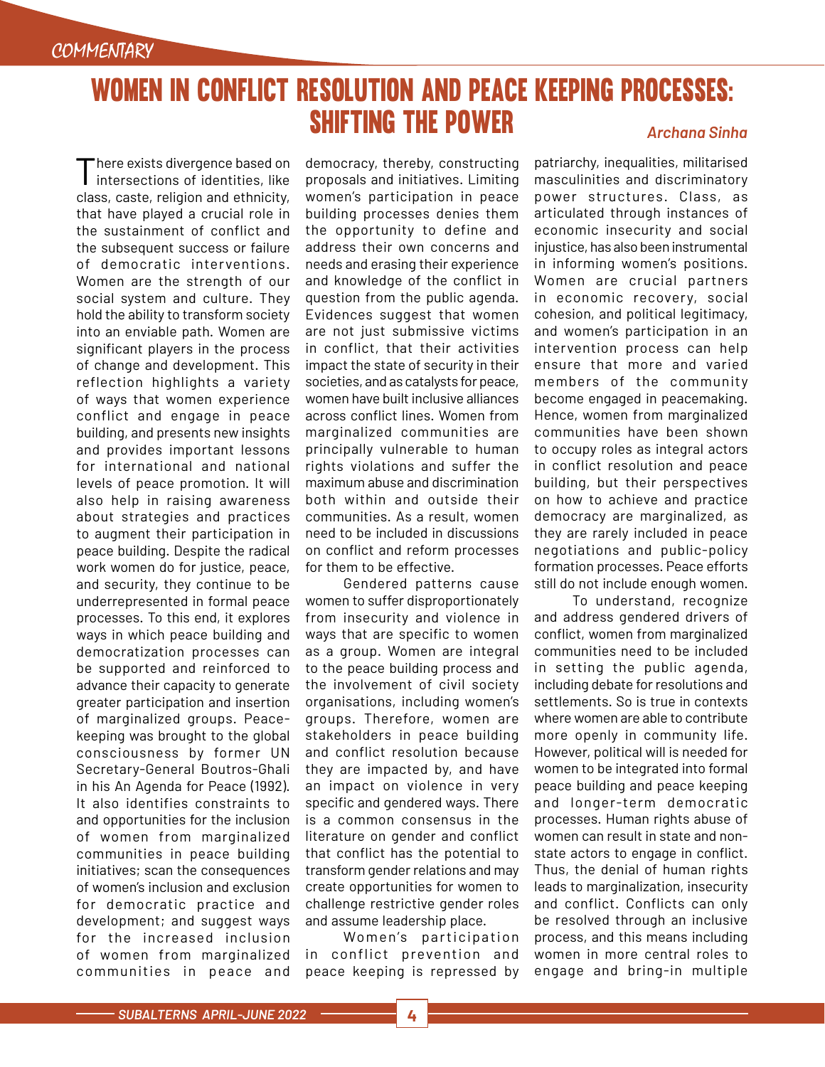## WOMEN IN CONFLICT RESOLUTION AND PEACE KEEPING PROCESSES: SHIFTING THE POWER *Archana Sinha*

There exists divergence based on I intersections of identities, like class, caste, religion and ethnicity, that have played a crucial role in the sustainment of conflict and the subsequent success or failure of democratic inter ventions. Women are the strength of our social system and culture. They hold the ability to transform society into an enviable path. Women are significant players in the process of change and development. This reflection highlights a variety of ways that women experience conflict and engage in peace building, and presents new insights and provides important lessons for international and national levels of peace promotion. It will also help in raising awareness about strategies and practices to augment their participation in peace building. Despite the radical work women do for justice, peace, and security, they continue to be underrepresented in formal peace processes. To this end, it explores ways in which peace building and democratization processes can be supported and reinforced to advance their capacity to generate greater participation and insertion of marginalized groups. Peacekeeping was brought to the global consciousness by former UN Secretary-General Boutros-Ghali in his An Agenda for Peace (1992). It also identifies constraints to and opportunities for the inclusion of women from marginalized communities in peace building initiatives; scan the consequences of women's inclusion and exclusion for democratic practice and development; and suggest ways for the increased inclusion of women from marginalized communities in peace and

democracy, thereby, constructing proposals and initiatives. Limiting women's participation in peace building processes denies them the opportunity to define and address their own concerns and needs and erasing their experience and knowledge of the conflict in question from the public agenda. Evidences suggest that women are not just submissive victims in conflict, that their activities impact the state of security in their societies, and as catalysts for peace, women have built inclusive alliances across conflict lines. Women from marginalized communities are principally vulnerable to human rights violations and suffer the maximum abuse and discrimination both within and outside their communities. As a result, women need to be included in discussions on conflict and reform processes for them to be effective.

Gendered patterns cause women to suffer disproportionately from insecurity and violence in ways that are specific to women as a group. Women are integral to the peace building process and the involvement of civil society organisations, including women's groups. Therefore, women are stakeholders in peace building and conflict resolution because they are impacted by, and have an impact on violence in very specific and gendered ways. There is a common consensus in the literature on gender and conflict that conflict has the potential to transform gender relations and may create opportunities for women to challenge restrictive gender roles and assume leadership place.

Women's participation in conflict prevention and peace keeping is repressed by

patriarchy, inequalities, militarised masculinities and discriminatory power structures. Class, as articulated through instances of economic insecurity and social injustice, has also been instrumental in informing women's positions. Women are crucial partners in economic recovery, social cohesion, and political legitimacy, and women's participation in an intervention process can help ensure that more and varied members of the community become engaged in peacemaking. Hence, women from marginalized communities have been shown to occupy roles as integral actors in conflict resolution and peace building, but their perspectives on how to achieve and practice democracy are marginalized, as they are rarely included in peace negotiations and public-policy formation processes. Peace efforts still do not include enough women.

To understand, recognize and address gendered drivers of conflict, women from marginalized communities need to be included in setting the public agenda, including debate for resolutions and settlements. So is true in contexts where women are able to contribute more openly in community life. However, political will is needed for women to be integrated into formal peace building and peace keeping and longer-term democratic processes. Human rights abuse of women can result in state and nonstate actors to engage in conflict. Thus, the denial of human rights leads to marginalization, insecurity and conflict. Conflicts can only be resolved through an inclusive process, and this means including women in more central roles to engage and bring-in multiple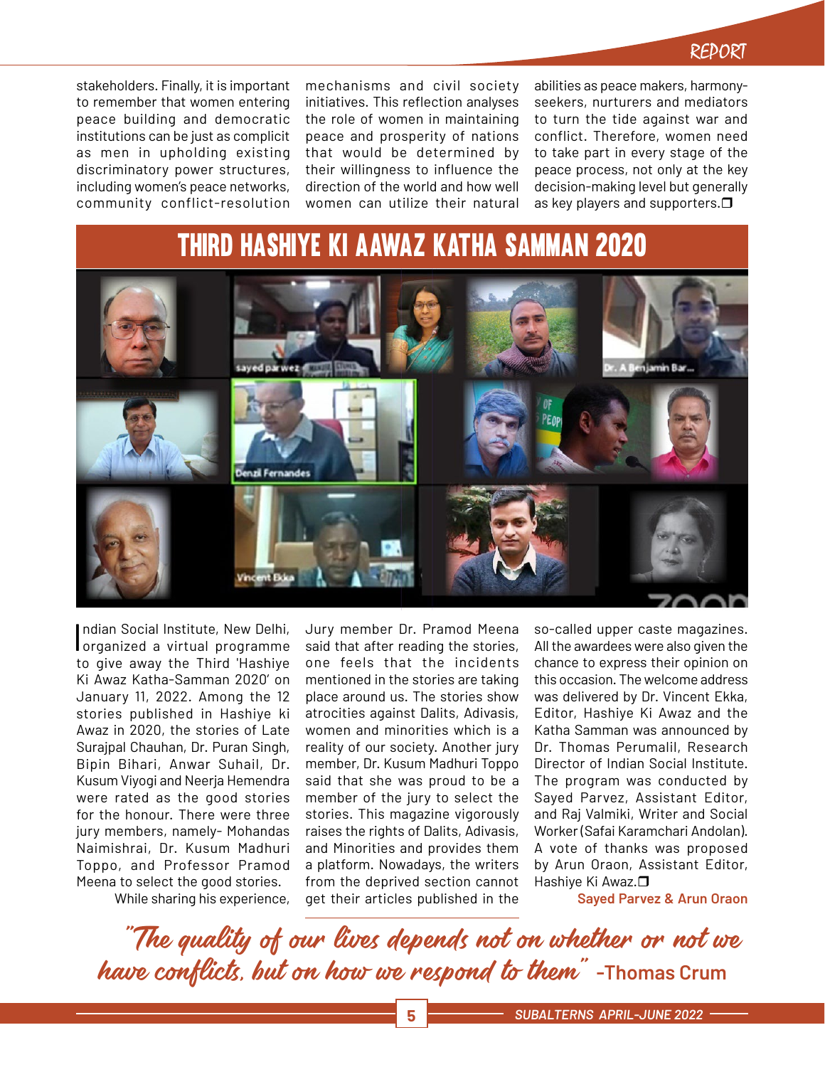stakeholders. Finally, it is important to remember that women entering peace building and democratic institutions can be just as complicit as men in upholding existing discriminatory power structures, including women's peace networks, community conflict-resolution

mechanisms and civil society initiatives. This reflection analyses the role of women in maintaining peace and prosperity of nations that would be determined by their willingness to influence the direction of the world and how well women can utilize their natural abilities as peace makers, harmonyseekers, nurturers and mediators to turn the tide against war and conflict. Therefore, women need to take part in every stage of the peace process, not only at the key decision-making level but generally as key players and supporters.

## Third Hashiye Ki Aawaz Katha Samman 2020



Indian Social Institute, New Delhi,<br>I organized a virtual programme ndian Social Institute, New Delhi, to give away the Third 'Hashiye Ki Awaz Katha-Samman 2020' on January 11, 2022. Among the 12 stories published in Hashiye ki Awaz in 2020, the stories of Late Surajpal Chauhan, Dr. Puran Singh, Bipin Bihari, Anwar Suhail, Dr. Kusum Viyogi and Neerja Hemendra were rated as the good stories for the honour. There were three jury members, namely- Mohandas Naimishrai, Dr. Kusum Madhuri Toppo, and Professor Pramod Meena to select the good stories.

While sharing his experience,

Jury member Dr. Pramod Meena said that after reading the stories, one feels that the incidents mentioned in the stories are taking place around us. The stories show atrocities against Dalits, Adivasis, women and minorities which is a reality of our society. Another jury member, Dr. Kusum Madhuri Toppo said that she was proud to be a member of the jury to select the stories. This magazine vigorously raises the rights of Dalits, Adivasis, and Minorities and provides them a platform. Nowadays, the writers from the deprived section cannot get their articles published in the

so-called upper caste magazines. All the awardees were also given the chance to express their opinion on this occasion. The welcome address was delivered by Dr. Vincent Ekka, Editor, Hashiye Ki Awaz and the Katha Samman was announced by Dr. Thomas Perumalil, Research Director of Indian Social Institute. The program was conducted by Sayed Parvez, Assistant Editor, and Raj Valmiki, Writer and Social Worker (Safai Karamchari Andolan). A vote of thanks was proposed by Arun Oraon, Assistant Editor, Hashiye Ki Awaz.**□** 

**Sayed Parvez & Arun Oraon**

"The quality of our lives depends not on whether or not we have conflicts, but on how we respond to them" **-Thomas Crum**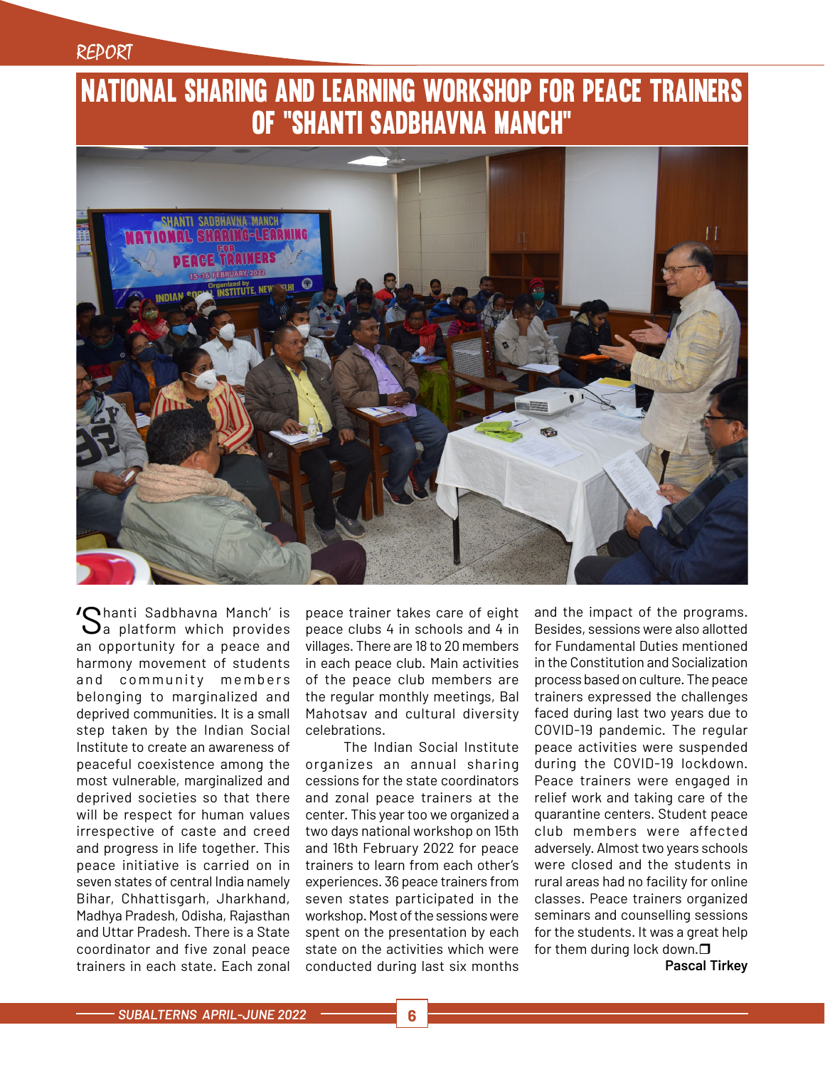## National Sharing and Learning Workshop for Peace Trainers of "Shanti Sadbhavna Manch"



**'Chanti Sadbhavna Manch' is**  $\mathbf{Q}$ a platform which provides an opportunity for a peace and harmony movement of students and community members belonging to marginalized and deprived communities. It is a small step taken by the Indian Social Institute to create an awareness of peaceful coexistence among the most vulnerable, marginalized and deprived societies so that there will be respect for human values irrespective of caste and creed and progress in life together. This peace initiative is carried on in seven states of central India namely Bihar, Chhattisgarh, Jharkhand, Madhya Pradesh, Odisha, Rajasthan and Uttar Pradesh. There is a State coordinator and five zonal peace trainers in each state. Each zonal

peace trainer takes care of eight peace clubs 4 in schools and 4 in villages. There are 18 to 20 members in each peace club. Main activities of the peace club members are the regular monthly meetings, Bal Mahotsav and cultural diversity celebrations.

The Indian Social Institute organizes an annual sharing cessions for the state coordinators and zonal peace trainers at the center. This year too we organized a two days national workshop on 15th and 16th February 2022 for peace trainers to learn from each other's experiences. 36 peace trainers from seven states participated in the workshop. Most of the sessions were spent on the presentation by each state on the activities which were conducted during last six months

and the impact of the programs. Besides, sessions were also allotted for Fundamental Duties mentioned in the Constitution and Socialization process based on culture. The peace trainers expressed the challenges faced during last two years due to COVID-19 pandemic. The regular peace activities were suspended during the COVID-19 lockdown. Peace trainers were engaged in relief work and taking care of the quarantine centers. Student peace club members were affected adversely. Almost two years schools were closed and the students in rural areas had no facility for online classes. Peace trainers organized seminars and counselling sessions for the students. It was a great help for them during lock down. $\Box$ 

**Pascal Tirkey**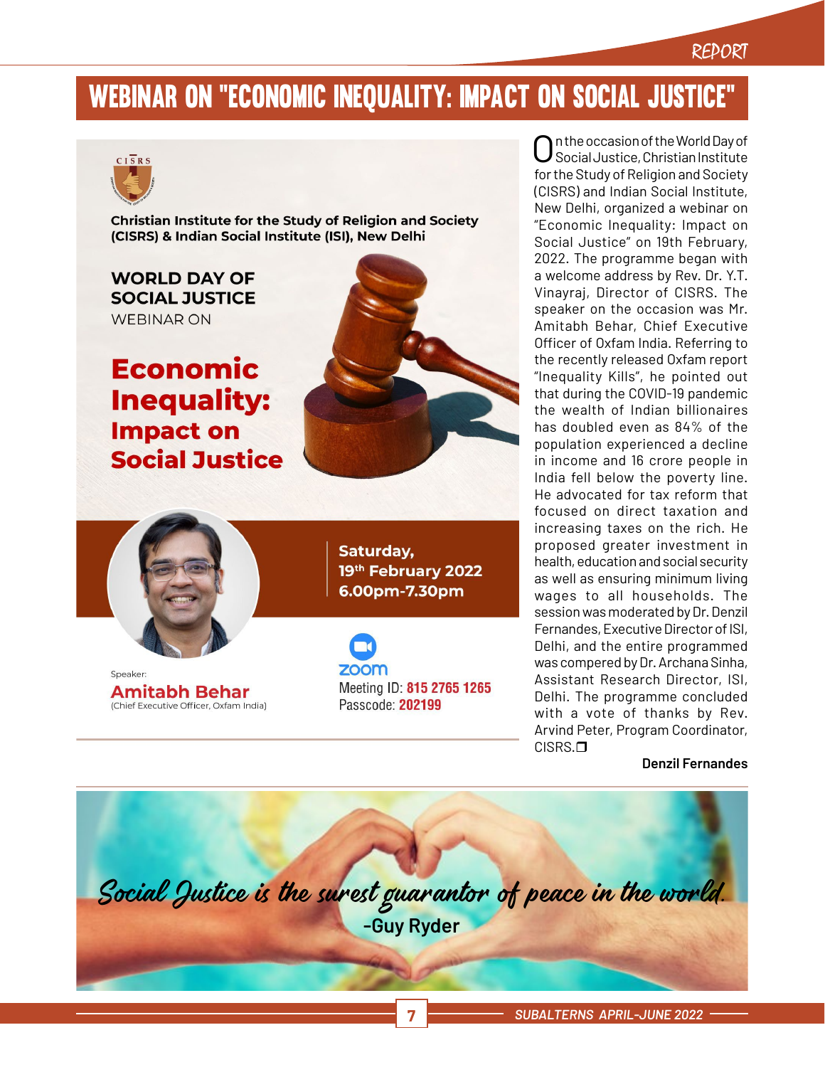## Webinar on "Economic Inequality: Impact on Social Justice"



**Christian Institute for the Study of Religion and Society** (CISRS) & Indian Social Institute (ISI), New Delhi

**WORLD DAY OF SOCIAL JUSTICE WEBINAR ON** 

**Economic Inequality: Impact on Social Justice** 





Speaker **Amitabh Behar** (Chief Executive Officer, Oxfam India)

Saturday, 19th February 2022 6.00pm-7.30pm

**ZOOM** Meeting ID: 815 2765 1265 Passcode: 202199

n the occasion of the World Day of Social Justice, Christian Institute for the Study of Religion and Society (CISRS) and Indian Social Institute, New Delhi, organized a webinar on "Economic Inequality: Impact on Social Justice" on 19th February, 2022. The programme began with a welcome address by Rev. Dr. Y.T. Vinayraj, Director of CISRS. The speaker on the occasion was Mr. Amitabh Behar, Chief Executive Officer of Oxfam India. Referring to the recently released Oxfam report "Inequality Kills", he pointed out that during the COVID-19 pandemic the wealth of Indian billionaires has doubled even as 84% of the population experienced a decline in income and 16 crore people in India fell below the poverty line. He advocated for tax reform that focused on direct taxation and increasing taxes on the rich. He proposed greater investment in health, education and social security as well as ensuring minimum living wages to all households. The session was moderated by Dr. Denzil Fernandes, Executive Director of ISI, Delhi, and the entire programmed was compered by Dr. Archana Sinha, Assistant Research Director, ISI, Delhi. The programme concluded with a vote of thanks by Rev. Arvind Peter, Program Coordinator, CISRS.<sub>O</sub>

**Denzil Fernandes**